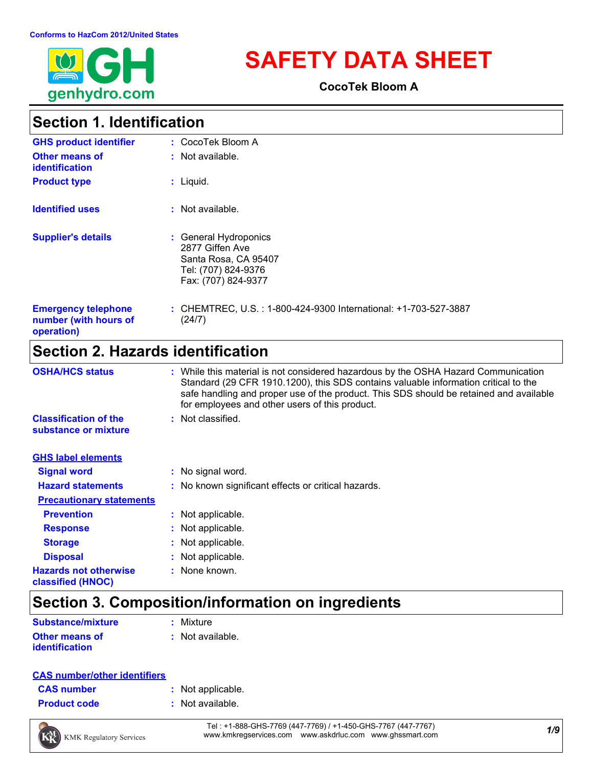

# **SAFETY DATA SHEET**

**CocoTek Bloom A**

### **Section 1. Identification**

| <b>GHS product identifier</b>                                     | : CocoTek Bloom A                                                                                              |
|-------------------------------------------------------------------|----------------------------------------------------------------------------------------------------------------|
| Other means of<br><b>identification</b>                           | $:$ Not available.                                                                                             |
| <b>Product type</b>                                               | $:$ Liquid.                                                                                                    |
| <b>Identified uses</b>                                            | $:$ Not available.                                                                                             |
| <b>Supplier's details</b>                                         | : General Hydroponics<br>2877 Giffen Ave<br>Santa Rosa, CA 95407<br>Tel: (707) 824-9376<br>Fax: (707) 824-9377 |
| <b>Emergency telephone</b><br>number (with hours of<br>operation) | : CHEMTREC, U.S. : 1-800-424-9300 International: +1-703-527-3887<br>(24/7)                                     |

### **Section 2. Hazards identification**

| <b>OSHA/HCS status</b>                               | : While this material is not considered hazardous by the OSHA Hazard Communication<br>Standard (29 CFR 1910.1200), this SDS contains valuable information critical to the<br>safe handling and proper use of the product. This SDS should be retained and available<br>for employees and other users of this product. |
|------------------------------------------------------|-----------------------------------------------------------------------------------------------------------------------------------------------------------------------------------------------------------------------------------------------------------------------------------------------------------------------|
| <b>Classification of the</b><br>substance or mixture | : Not classified.                                                                                                                                                                                                                                                                                                     |
| <b>GHS label elements</b>                            |                                                                                                                                                                                                                                                                                                                       |
| <b>Signal word</b>                                   | : No signal word.                                                                                                                                                                                                                                                                                                     |
| <b>Hazard statements</b>                             | : No known significant effects or critical hazards.                                                                                                                                                                                                                                                                   |
| <b>Precautionary statements</b>                      |                                                                                                                                                                                                                                                                                                                       |
| <b>Prevention</b>                                    | : Not applicable.                                                                                                                                                                                                                                                                                                     |
| <b>Response</b>                                      | : Not applicable.                                                                                                                                                                                                                                                                                                     |
| <b>Storage</b>                                       | : Not applicable.                                                                                                                                                                                                                                                                                                     |
| <b>Disposal</b>                                      | : Not applicable.                                                                                                                                                                                                                                                                                                     |
| <b>Hazards not otherwise</b><br>classified (HNOC)    | : None known.                                                                                                                                                                                                                                                                                                         |

# **Section 3. Composition/information on ingredients**

| <b>Substance/mixture</b> | : Mixture        |
|--------------------------|------------------|
| <b>Other means of</b>    | : Not available. |
| <i>identification</i>    |                  |

### **CAS number/other identifiers**

| <b>CAS number</b> |  |  |
|-------------------|--|--|
|-------------------|--|--|

- **:** Not applicable.
- **Product code :** Not available.



*1/9* Tel : +1-888-GHS-7769 (447-7769) / +1-450-GHS-7767 (447-7767) www.kmkregservices.com www.askdrluc.com www.ghssmart.com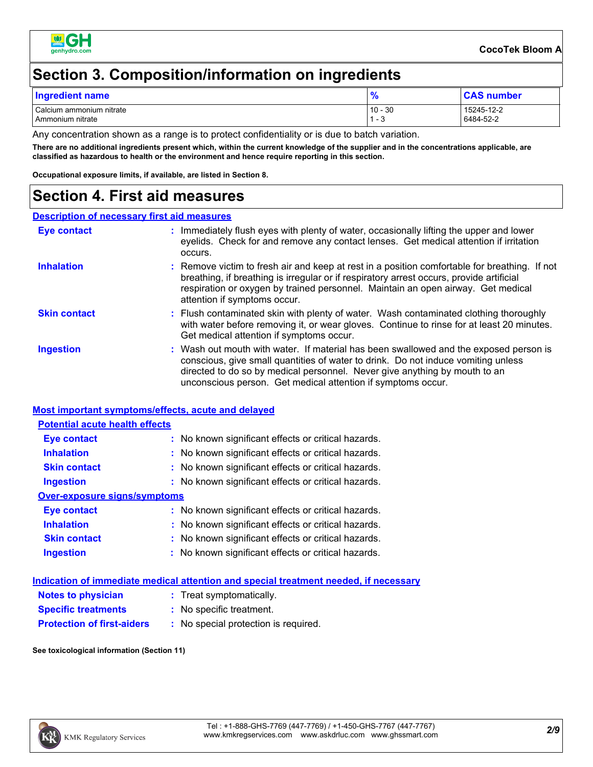

### **Section 3. Composition/information on ingredients**

| <b>Ingredient name</b>                       | - 0<br>$\prime$          | <b>CAS number</b>       |
|----------------------------------------------|--------------------------|-------------------------|
| Calcium ammonium nitrate<br>Ammonium nitrate | $10 - 30$<br>-4<br>. - ب | 15245-12-2<br>6484-52-2 |

Any concentration shown as a range is to protect confidentiality or is due to batch variation.

**There are no additional ingredients present which, within the current knowledge of the supplier and in the concentrations applicable, are classified as hazardous to health or the environment and hence require reporting in this section.**

**Occupational exposure limits, if available, are listed in Section 8.**

### **Section 4. First aid measures**

#### **Description of necessary first aid measures**

| Eye contact         | : Immediately flush eyes with plenty of water, occasionally lifting the upper and lower<br>eyelids. Check for and remove any contact lenses. Get medical attention if irritation<br>occurs.                                                                                                                              |
|---------------------|--------------------------------------------------------------------------------------------------------------------------------------------------------------------------------------------------------------------------------------------------------------------------------------------------------------------------|
| <b>Inhalation</b>   | : Remove victim to fresh air and keep at rest in a position comfortable for breathing. If not<br>breathing, if breathing is irregular or if respiratory arrest occurs, provide artificial<br>respiration or oxygen by trained personnel. Maintain an open airway. Get medical<br>attention if symptoms occur.            |
| <b>Skin contact</b> | : Flush contaminated skin with plenty of water. Wash contaminated clothing thoroughly<br>with water before removing it, or wear gloves. Continue to rinse for at least 20 minutes.<br>Get medical attention if symptoms occur.                                                                                           |
| <b>Ingestion</b>    | : Wash out mouth with water. If material has been swallowed and the exposed person is<br>conscious, give small quantities of water to drink. Do not induce vomiting unless<br>directed to do so by medical personnel. Never give anything by mouth to an<br>unconscious person. Get medical attention if symptoms occur. |

#### **Most important symptoms/effects, acute and delayed**

#### **Potential acute health effects**

| <b>Eye contact</b>           | : No known significant effects or critical hazards. |
|------------------------------|-----------------------------------------------------|
| <b>Inhalation</b>            | : No known significant effects or critical hazards. |
| <b>Skin contact</b>          | : No known significant effects or critical hazards. |
| <b>Ingestion</b>             | : No known significant effects or critical hazards. |
| Over-exposure signs/symptoms |                                                     |
| Eye contact                  | : No known significant effects or critical hazards. |
| <b>Inhalation</b>            | : No known significant effects or critical hazards. |
| <b>Skin contact</b>          | : No known significant effects or critical hazards. |
| <b>Ingestion</b>             | : No known significant effects or critical hazards. |

|                                   | Indication of immediate medical attention and special treatment needed, if necessary |  |
|-----------------------------------|--------------------------------------------------------------------------------------|--|
| <b>Notes to physician</b>         | : Treat symptomatically.                                                             |  |
| <b>Specific treatments</b>        | : No specific treatment.                                                             |  |
| <b>Protection of first-aiders</b> | : No special protection is required.                                                 |  |

#### **See toxicological information (Section 11)**

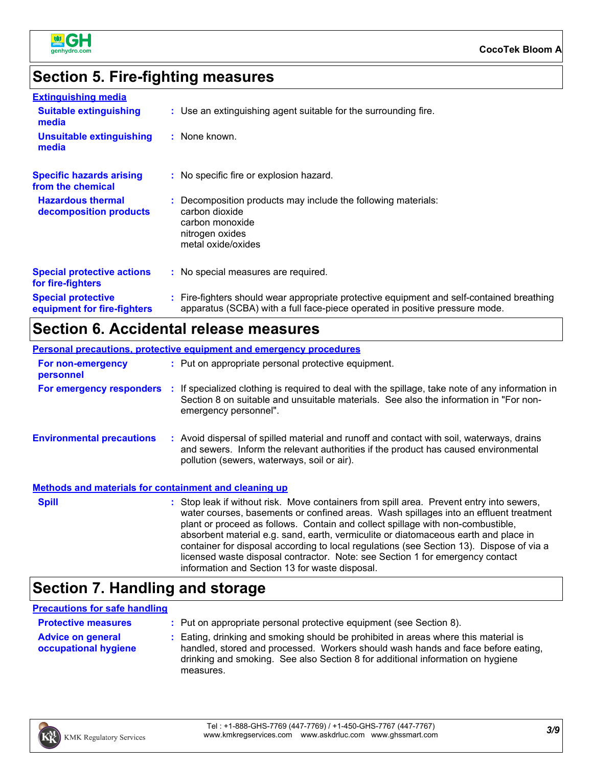

# **Section 5. Fire-fighting measures**

| <b>Extinguishing media</b>                               |                                                                                                                                                                          |
|----------------------------------------------------------|--------------------------------------------------------------------------------------------------------------------------------------------------------------------------|
| <b>Suitable extinguishing</b><br>media                   | : Use an extinguishing agent suitable for the surrounding fire.                                                                                                          |
| <b>Unsuitable extinguishing</b><br>media                 | : None known.                                                                                                                                                            |
| <b>Specific hazards arising</b><br>from the chemical     | : No specific fire or explosion hazard.                                                                                                                                  |
| <b>Hazardous thermal</b><br>decomposition products       | : Decomposition products may include the following materials:<br>carbon dioxide<br>carbon monoxide<br>nitrogen oxides<br>metal oxide/oxides                              |
| <b>Special protective actions</b><br>for fire-fighters   | : No special measures are required.                                                                                                                                      |
| <b>Special protective</b><br>equipment for fire-fighters | : Fire-fighters should wear appropriate protective equipment and self-contained breathing<br>apparatus (SCBA) with a full face-piece operated in positive pressure mode. |

### **Section 6. Accidental release measures**

|                                                              | <b>Personal precautions, protective equipment and emergency procedures</b>                                                                                                                                                                                                                                                                                                                                                                                                                                                               |
|--------------------------------------------------------------|------------------------------------------------------------------------------------------------------------------------------------------------------------------------------------------------------------------------------------------------------------------------------------------------------------------------------------------------------------------------------------------------------------------------------------------------------------------------------------------------------------------------------------------|
| For non-emergency<br>personnel                               | : Put on appropriate personal protective equipment.                                                                                                                                                                                                                                                                                                                                                                                                                                                                                      |
| For emergency responders :                                   | If specialized clothing is required to deal with the spillage, take note of any information in<br>Section 8 on suitable and unsuitable materials. See also the information in "For non-<br>emergency personnel".                                                                                                                                                                                                                                                                                                                         |
| <b>Environmental precautions</b>                             | : Avoid dispersal of spilled material and runoff and contact with soil, waterways, drains<br>and sewers. Inform the relevant authorities if the product has caused environmental<br>pollution (sewers, waterways, soil or air).                                                                                                                                                                                                                                                                                                          |
| <b>Methods and materials for containment and cleaning up</b> |                                                                                                                                                                                                                                                                                                                                                                                                                                                                                                                                          |
| <b>Spill</b>                                                 | : Stop leak if without risk. Move containers from spill area. Prevent entry into sewers,<br>water courses, basements or confined areas. Wash spillages into an effluent treatment<br>plant or proceed as follows. Contain and collect spillage with non-combustible,<br>absorbent material e.g. sand, earth, vermiculite or diatomaceous earth and place in<br>container for disposal according to local regulations (see Section 13). Dispose of via a<br>licensed waste disposal contractor. Note: see Section 1 for emergency contact |

# **Section 7. Handling and storage**

### **Precautions for safe handling**

| <b>Protective measures</b>                       | : Put on appropriate personal protective equipment (see Section 8).                                                                                                                                                                                                    |
|--------------------------------------------------|------------------------------------------------------------------------------------------------------------------------------------------------------------------------------------------------------------------------------------------------------------------------|
| <b>Advice on general</b><br>occupational hygiene | : Eating, drinking and smoking should be prohibited in areas where this material is<br>handled, stored and processed. Workers should wash hands and face before eating,<br>drinking and smoking. See also Section 8 for additional information on hygiene<br>measures. |

information and Section 13 for waste disposal.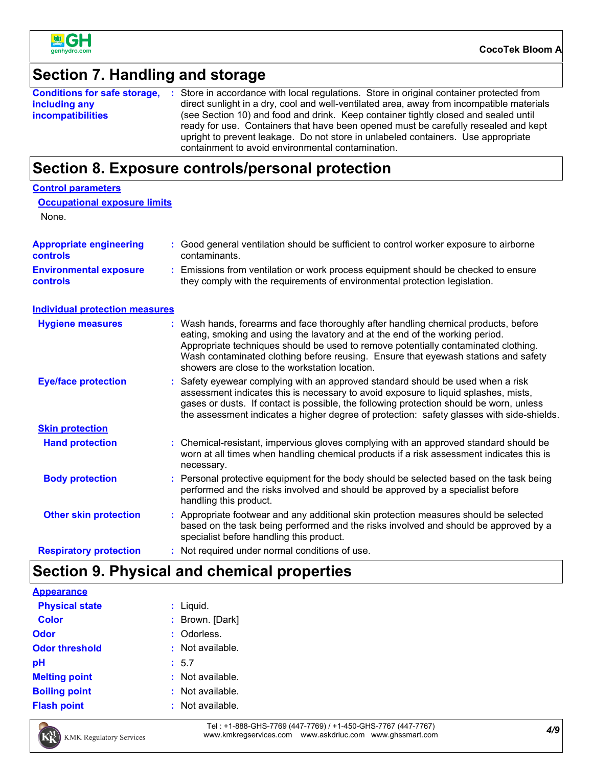

### **Section 7. Handling and storage**

|                          | <b>Conditions for safe storage, :</b> Store in accordance with local regulations. Store in original container protected from                                                                                                                                                                                         |
|--------------------------|----------------------------------------------------------------------------------------------------------------------------------------------------------------------------------------------------------------------------------------------------------------------------------------------------------------------|
| including any            | direct sunlight in a dry, cool and well-ventilated area, away from incompatible materials                                                                                                                                                                                                                            |
| <i>incompatibilities</i> | (see Section 10) and food and drink. Keep container tightly closed and sealed until<br>ready for use. Containers that have been opened must be carefully resealed and kept<br>upright to prevent leakage. Do not store in unlabeled containers. Use appropriate<br>containment to avoid environmental contamination. |

### **Section 8. Exposure controls/personal protection**

| <b>Control parameters</b>                        |                                                                                                                                                                                                                                                                                                                                                                                                   |
|--------------------------------------------------|---------------------------------------------------------------------------------------------------------------------------------------------------------------------------------------------------------------------------------------------------------------------------------------------------------------------------------------------------------------------------------------------------|
| <b>Occupational exposure limits</b><br>None.     |                                                                                                                                                                                                                                                                                                                                                                                                   |
| <b>Appropriate engineering</b><br>controls       | : Good general ventilation should be sufficient to control worker exposure to airborne<br>contaminants.                                                                                                                                                                                                                                                                                           |
| <b>Environmental exposure</b><br><b>controls</b> | : Emissions from ventilation or work process equipment should be checked to ensure<br>they comply with the requirements of environmental protection legislation.                                                                                                                                                                                                                                  |
| <b>Individual protection measures</b>            |                                                                                                                                                                                                                                                                                                                                                                                                   |
| <b>Hygiene measures</b>                          | : Wash hands, forearms and face thoroughly after handling chemical products, before<br>eating, smoking and using the lavatory and at the end of the working period.<br>Appropriate techniques should be used to remove potentially contaminated clothing.<br>Wash contaminated clothing before reusing. Ensure that eyewash stations and safety<br>showers are close to the workstation location. |
| <b>Eye/face protection</b>                       | : Safety eyewear complying with an approved standard should be used when a risk<br>assessment indicates this is necessary to avoid exposure to liquid splashes, mists,<br>gases or dusts. If contact is possible, the following protection should be worn, unless<br>the assessment indicates a higher degree of protection: safety glasses with side-shields.                                    |
| <b>Skin protection</b>                           |                                                                                                                                                                                                                                                                                                                                                                                                   |
| <b>Hand protection</b>                           | : Chemical-resistant, impervious gloves complying with an approved standard should be<br>worn at all times when handling chemical products if a risk assessment indicates this is<br>necessary.                                                                                                                                                                                                   |
| <b>Body protection</b>                           | Personal protective equipment for the body should be selected based on the task being<br>performed and the risks involved and should be approved by a specialist before<br>handling this product.                                                                                                                                                                                                 |
| <b>Other skin protection</b>                     | : Appropriate footwear and any additional skin protection measures should be selected<br>based on the task being performed and the risks involved and should be approved by a<br>specialist before handling this product.                                                                                                                                                                         |
| <b>Respiratory protection</b>                    | : Not required under normal conditions of use.                                                                                                                                                                                                                                                                                                                                                    |

### **Section 9. Physical and chemical properties**

| <b>Appearance</b>        |                  |
|--------------------------|------------------|
| <b>Physical state</b>    | $:$ Liquid.      |
| <b>Color</b>             | : Brown. [Dark]  |
| <b>Odor</b>              | : Odorless.      |
| <b>Odor threshold</b>    | : Not available. |
| pH                       | : 5.7            |
| <b>Melting point</b>     | : Not available. |
| <b>Boiling point</b>     | : Not available. |
| <b>Flash point</b><br>÷. | Not available.   |



*4/9* Tel : +1-888-GHS-7769 (447-7769) / +1-450-GHS-7767 (447-7767) www.kmkregservices.com www.askdrluc.com www.ghssmart.com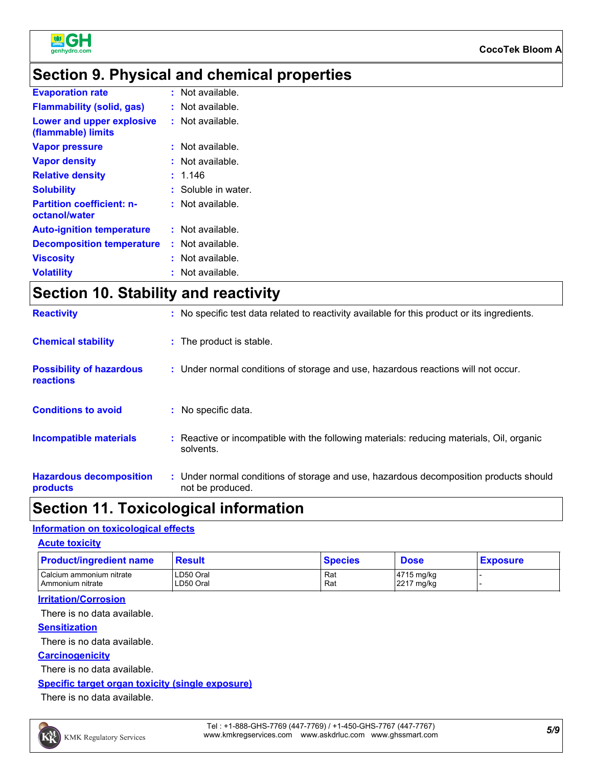

### **Section 9. Physical and chemical properties**

| <b>Evaporation rate</b>                           | $:$ Not available.  |
|---------------------------------------------------|---------------------|
| <b>Flammability (solid, gas)</b>                  | Not available.      |
| Lower and upper explosive<br>(flammable) limits   | : Not available.    |
| <b>Vapor pressure</b>                             | : Not available.    |
| <b>Vapor density</b>                              | Not available.      |
| <b>Relative density</b>                           | 1.146               |
| <b>Solubility</b>                                 | : Soluble in water. |
| <b>Partition coefficient: n-</b><br>octanol/water | Not available.      |
| <b>Auto-ignition temperature</b>                  | : Not available.    |
| <b>Decomposition temperature</b>                  | Not available.      |
| <b>Viscosity</b>                                  | Not available.      |
| <b>Volatility</b>                                 | Not available.      |

### **Section 10. Stability and reactivity**

| <b>Reactivity</b>                            | : No specific test data related to reactivity available for this product or its ingredients.              |
|----------------------------------------------|-----------------------------------------------------------------------------------------------------------|
| <b>Chemical stability</b>                    | : The product is stable.                                                                                  |
| <b>Possibility of hazardous</b><br>reactions | : Under normal conditions of storage and use, hazardous reactions will not occur.                         |
| <b>Conditions to avoid</b>                   | : No specific data.                                                                                       |
| <b>Incompatible materials</b>                | : Reactive or incompatible with the following materials: reducing materials, Oil, organic<br>solvents.    |
| <b>Hazardous decomposition</b><br>products   | : Under normal conditions of storage and use, hazardous decomposition products should<br>not be produced. |

### **Section 11. Toxicological information**

#### **Information on toxicological effects**

| <b>Acute toxicity</b> |  |
|-----------------------|--|
|-----------------------|--|

| <b>Product/ingredient name</b> | <b>Result</b> | Species | <b>Dose</b> | <b>Exposure</b> |
|--------------------------------|---------------|---------|-------------|-----------------|
| Calcium ammonium nitrate       | LD50 Oral     | Ra،     | 4715 mg/kg  |                 |
| I Ammonium nitrate             | LD50 Oral     | Rat     | 2217 mg/kg  |                 |

#### **Irritation/Corrosion**

There is no data available.

#### **Sensitization**

There is no data available.

#### **Carcinogenicity**

There is no data available.

#### **Specific target organ toxicity (single exposure)**

There is no data available.

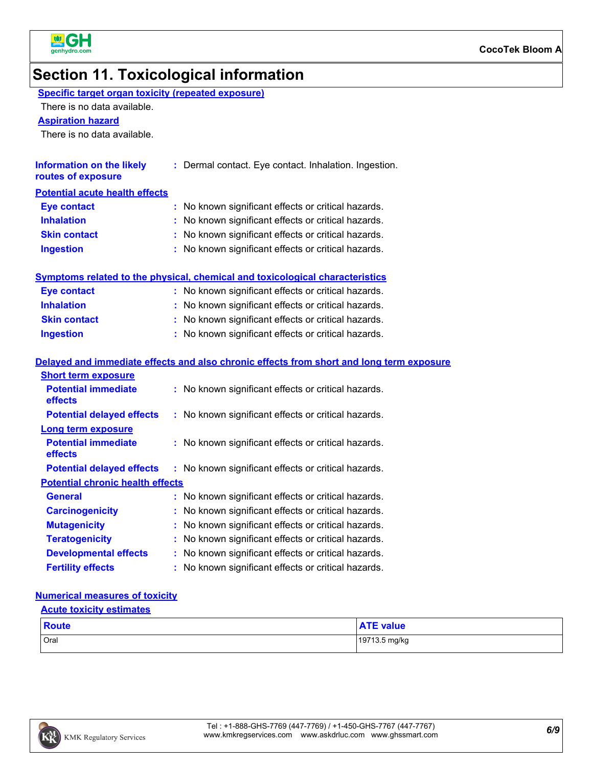

### **Section 11. Toxicological information**

### **Specific target organ toxicity (repeated exposure)**

There is no data available.

**Aspiration hazard**

There is no data available.

| <b>Information on the likely</b><br>routes of exposure | : Dermal contact. Eye contact. Inhalation. Ingestion. |
|--------------------------------------------------------|-------------------------------------------------------|
| <b>Potential acute health effects</b>                  |                                                       |
| <b>Eye contact</b>                                     | : No known significant effects or critical hazards.   |
| <b>Inhalation</b>                                      | : No known significant effects or critical hazards.   |
| <b>Skin contact</b>                                    | : No known significant effects or critical hazards.   |
| <b>Ingestion</b>                                       | : No known significant effects or critical hazards.   |

#### **Symptoms related to the physical, chemical and toxicological characteristics**

| <b>Eye contact</b>  | : No known significant effects or critical hazards. |
|---------------------|-----------------------------------------------------|
| <b>Inhalation</b>   | : No known significant effects or critical hazards. |
| <b>Skin contact</b> | : No known significant effects or critical hazards. |
| <b>Ingestion</b>    | : No known significant effects or critical hazards. |

#### **Delayed and immediate effects and also chronic effects from short and long term exposure**

| <b>Short term exposure</b>              |                                                     |
|-----------------------------------------|-----------------------------------------------------|
| <b>Potential immediate</b><br>effects   | : No known significant effects or critical hazards. |
| <b>Potential delayed effects</b>        | : No known significant effects or critical hazards. |
| <b>Long term exposure</b>               |                                                     |
| <b>Potential immediate</b><br>effects   | : No known significant effects or critical hazards. |
| <b>Potential delayed effects</b>        | : No known significant effects or critical hazards. |
| <b>Potential chronic health effects</b> |                                                     |
| General                                 | : No known significant effects or critical hazards. |
| <b>Carcinogenicity</b>                  | : No known significant effects or critical hazards. |
| <b>Mutagenicity</b>                     | : No known significant effects or critical hazards. |
| <b>Teratogenicity</b>                   | : No known significant effects or critical hazards. |
| <b>Developmental effects</b>            | : No known significant effects or critical hazards. |
| <b>Fertility effects</b>                | : No known significant effects or critical hazards. |

#### **Numerical measures of toxicity**

| <b>Acute toxicity estimates</b> |                  |  |
|---------------------------------|------------------|--|
| Route                           | <b>ATE</b> value |  |
| Oral                            | 19713.5 mg/kg    |  |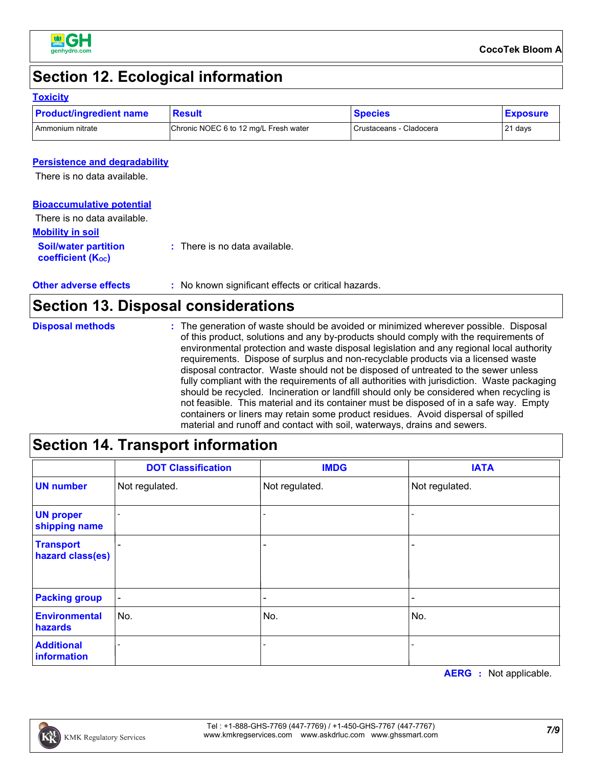

### **Section 12. Ecological information**

### **Toxicity**

| <b>Product/ingredient name</b> | <b>Result</b>                         | <b>Species</b>          | <b>Exposure</b> |
|--------------------------------|---------------------------------------|-------------------------|-----------------|
| Ammonium nitrate               | Chronic NOEC 6 to 12 mg/L Fresh water | Crustaceans - Cladocera | 21 days         |

### **Persistence and degradability**

There is no data available.

#### **Bioaccumulative potential**

| There is no data available.                                   |                                          |
|---------------------------------------------------------------|------------------------------------------|
| <b>Mobility in soil</b>                                       |                                          |
| <b>Soil/water partition</b><br>coefficient (K <sub>oc</sub> ) | $\therefore$ There is no data available. |

| : No known significant effects or critical hazards.<br><b>Other adverse effects</b> |  |
|-------------------------------------------------------------------------------------|--|
|-------------------------------------------------------------------------------------|--|

### **Section 13. Disposal considerations**

| <b>Disposal methods</b> | : The generation of waste should be avoided or minimized wherever possible. Disposal<br>of this product, solutions and any by-products should comply with the requirements of<br>environmental protection and waste disposal legislation and any regional local authority<br>requirements. Dispose of surplus and non-recyclable products via a licensed waste<br>disposal contractor. Waste should not be disposed of untreated to the sewer unless<br>fully compliant with the requirements of all authorities with jurisdiction. Waste packaging<br>should be recycled. Incineration or landfill should only be considered when recycling is<br>not feasible. This material and its container must be disposed of in a safe way. Empty<br>containers or liners may retain some product residues. Avoid dispersal of spilled |
|-------------------------|--------------------------------------------------------------------------------------------------------------------------------------------------------------------------------------------------------------------------------------------------------------------------------------------------------------------------------------------------------------------------------------------------------------------------------------------------------------------------------------------------------------------------------------------------------------------------------------------------------------------------------------------------------------------------------------------------------------------------------------------------------------------------------------------------------------------------------|
|                         | material and runoff and contact with soil, waterways, drains and sewers.                                                                                                                                                                                                                                                                                                                                                                                                                                                                                                                                                                                                                                                                                                                                                       |

# **Section 14. Transport information**

|                                      | <b>DOT Classification</b> | <b>IMDG</b>    | <b>IATA</b>                  |
|--------------------------------------|---------------------------|----------------|------------------------------|
| <b>UN number</b>                     | Not regulated.            | Not regulated. | Not regulated.               |
| <b>UN proper</b><br>shipping name    |                           |                |                              |
| <b>Transport</b><br>hazard class(es) |                           |                | $\qquad \qquad \blacksquare$ |
| <b>Packing group</b>                 | $\blacksquare$            |                |                              |
| <b>Environmental</b><br>hazards      | No.                       | No.            | No.                          |
| <b>Additional</b><br>information     |                           |                |                              |

**AERG :** Not applicable.

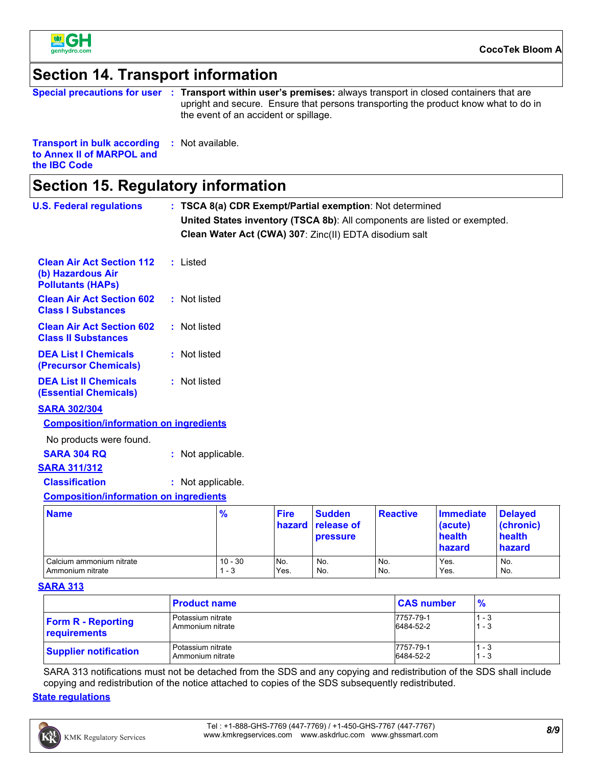

### **Section 14. Transport information**

|                                                     | Special precautions for user : Transport within user's premises: always transport in closed containers that are<br>upright and secure. Ensure that persons transporting the product know what to do in<br>the event of an accident or spillage. |
|-----------------------------------------------------|-------------------------------------------------------------------------------------------------------------------------------------------------------------------------------------------------------------------------------------------------|
| <b>Transport in bulk according : Not available.</b> |                                                                                                                                                                                                                                                 |

| to Annex II of MARPOL and |  |
|---------------------------|--|
| the <b>IBC</b> Code       |  |

# **Section 15. Regulatory information**

| <b>U.S. Federal regulations</b>                                                   |                   |                      |                       | : TSCA 8(a) CDR Exempt/Partial exemption: Not determined |                 |                                                                           |                                                 |
|-----------------------------------------------------------------------------------|-------------------|----------------------|-----------------------|----------------------------------------------------------|-----------------|---------------------------------------------------------------------------|-------------------------------------------------|
|                                                                                   |                   |                      |                       |                                                          |                 | United States inventory (TSCA 8b): All components are listed or exempted. |                                                 |
|                                                                                   |                   |                      |                       | Clean Water Act (CWA) 307: Zinc(II) EDTA disodium salt   |                 |                                                                           |                                                 |
| <b>Clean Air Act Section 112</b><br>(b) Hazardous Air<br><b>Pollutants (HAPs)</b> | : Listed          |                      |                       |                                                          |                 |                                                                           |                                                 |
| <b>Clean Air Act Section 602</b><br><b>Class I Substances</b>                     | : Not listed      |                      |                       |                                                          |                 |                                                                           |                                                 |
| <b>Clean Air Act Section 602</b><br><b>Class II Substances</b>                    | : Not listed      |                      |                       |                                                          |                 |                                                                           |                                                 |
| <b>DEA List I Chemicals</b><br>(Precursor Chemicals)                              | : Not listed      |                      |                       |                                                          |                 |                                                                           |                                                 |
| <b>DEA List II Chemicals</b><br><b>(Essential Chemicals)</b>                      | : Not listed      |                      |                       |                                                          |                 |                                                                           |                                                 |
| <b>SARA 302/304</b>                                                               |                   |                      |                       |                                                          |                 |                                                                           |                                                 |
| <b>Composition/information on ingredients</b>                                     |                   |                      |                       |                                                          |                 |                                                                           |                                                 |
| No products were found.                                                           |                   |                      |                       |                                                          |                 |                                                                           |                                                 |
| <b>SARA 304 RQ</b>                                                                | : Not applicable. |                      |                       |                                                          |                 |                                                                           |                                                 |
| <b>SARA 311/312</b>                                                               |                   |                      |                       |                                                          |                 |                                                                           |                                                 |
| <b>Classification</b>                                                             | : Not applicable. |                      |                       |                                                          |                 |                                                                           |                                                 |
| <b>Composition/information on ingredients</b>                                     |                   |                      |                       |                                                          |                 |                                                                           |                                                 |
| <b>Name</b>                                                                       |                   | $\frac{9}{6}$        | <b>Fire</b><br>hazard | <b>Sudden</b><br>release of<br>pressure                  | <b>Reactive</b> | <b>Immediate</b><br>(acute)<br>health<br>hazard                           | <b>Delayed</b><br>(chronic)<br>health<br>hazard |
| Calcium ammonium nitrate<br>Ammonium nitrate                                      |                   | $10 - 30$<br>$1 - 3$ | No.<br>Yes.           | No.<br>No.                                               | No.<br>No.      | Yes.<br>Yes.                                                              | No.<br>No.                                      |

#### **SARA 313**

|                              | <b>Product name</b> | <b>CAS number</b> | $\frac{9}{6}$ |
|------------------------------|---------------------|-------------------|---------------|
| <b>Form R - Reporting</b>    | Potassium nitrate   | 7757-79-1         | ' - 3         |
| requirements                 | Ammonium nitrate    | 6484-52-2         | - 3           |
| <b>Supplier notification</b> | Potassium nitrate   | 7757-79-1         | - 3           |
|                              | Ammonium nitrate    | 6484-52-2         | - 3           |

SARA 313 notifications must not be detached from the SDS and any copying and redistribution of the SDS shall include copying and redistribution of the notice attached to copies of the SDS subsequently redistributed.

#### **State regulations**